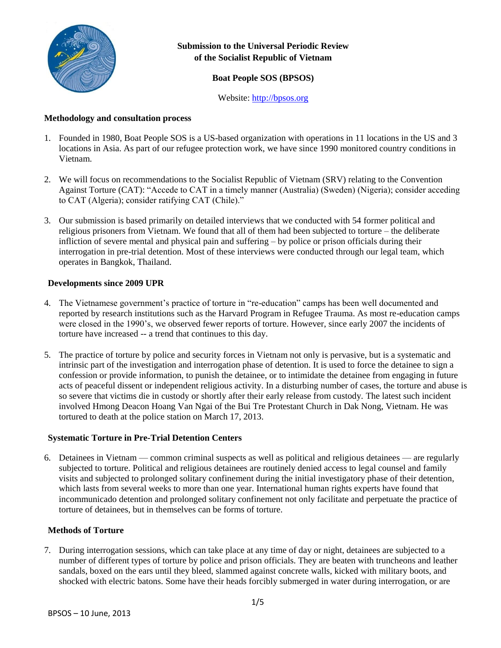

# **Submission to the Universal Periodic Review of the Socialist Republic of Vietnam**

# **Boat People SOS (BPSOS)**

Website: [http://bpsos.org](http://bpsos.org/)

#### **Methodology and consultation process**

- 1. Founded in 1980, Boat People SOS is a US-based organization with operations in 11 locations in the US and 3 locations in Asia. As part of our refugee protection work, we have since 1990 monitored country conditions in Vietnam.
- 2. We will focus on recommendations to the Socialist Republic of Vietnam (SRV) relating to the Convention Against Torture (CAT): "Accede to CAT in a timely manner (Australia) (Sweden) (Nigeria); consider acceding to CAT (Algeria); consider ratifying CAT (Chile)."
- 3. Our submission is based primarily on detailed interviews that we conducted with 54 former political and religious prisoners from Vietnam. We found that all of them had been subjected to torture – the deliberate infliction of severe mental and physical pain and suffering – by police or prison officials during their interrogation in pre-trial detention. Most of these interviews were conducted through our legal team, which operates in Bangkok, Thailand.

## **Developments since 2009 UPR**

- 4. The Vietnamese government's practice of torture in "re-education" camps has been well documented and reported by research institutions such as the Harvard Program in Refugee Trauma. As most re-education camps were closed in the 1990's, we observed fewer reports of torture. However, since early 2007 the incidents of torture have increased -- a trend that continues to this day.
- 5. The practice of torture by police and security forces in Vietnam not only is pervasive, but is a systematic and intrinsic part of the investigation and interrogation phase of detention. It is used to force the detainee to sign a confession or provide information, to punish the detainee, or to intimidate the detainee from engaging in future acts of peaceful dissent or independent religious activity. In a disturbing number of cases, the torture and abuse is so severe that victims die in custody or shortly after their early release from custody. The latest such incident involved Hmong Deacon Hoang Van Ngai of the Bui Tre Protestant Church in Dak Nong, Vietnam. He was tortured to death at the police station on March 17, 2013.

#### **Systematic Torture in Pre-Trial Detention Centers**

6. Detainees in Vietnam — common criminal suspects as well as political and religious detainees — are regularly subjected to torture. Political and religious detainees are routinely denied access to legal counsel and family visits and subjected to prolonged solitary confinement during the initial investigatory phase of their detention, which lasts from several weeks to more than one year. International human rights experts have found that incommunicado detention and prolonged solitary confinement not only facilitate and perpetuate the practice of torture of detainees, but in themselves can be forms of torture.

#### **Methods of Torture**

7. During interrogation sessions, which can take place at any time of day or night, detainees are subjected to a number of different types of torture by police and prison officials. They are beaten with truncheons and leather sandals, boxed on the ears until they bleed, slammed against concrete walls, kicked with military boots, and shocked with electric batons. Some have their heads forcibly submerged in water during interrogation, or are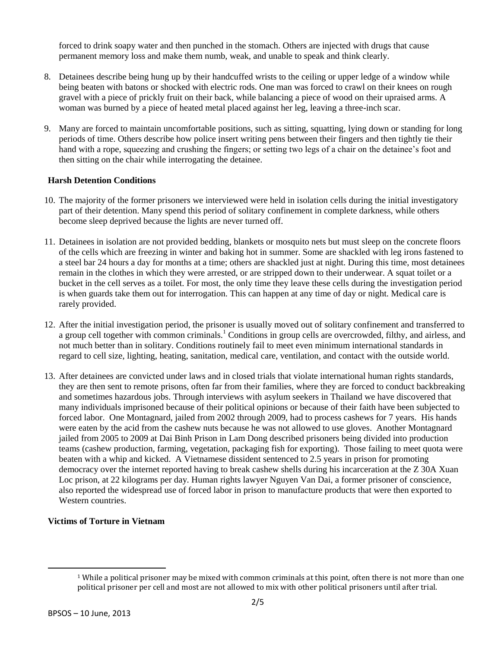forced to drink soapy water and then punched in the stomach. Others are injected with drugs that cause permanent memory loss and make them numb, weak, and unable to speak and think clearly.

- 8. Detainees describe being hung up by their handcuffed wrists to the ceiling or upper ledge of a window while being beaten with batons or shocked with electric rods. One man was forced to crawl on their knees on rough gravel with a piece of prickly fruit on their back, while balancing a piece of wood on their upraised arms. A woman was burned by a piece of heated metal placed against her leg, leaving a three-inch scar.
- 9. Many are forced to maintain uncomfortable positions, such as sitting, squatting, lying down or standing for long periods of time. Others describe how police insert writing pens between their fingers and then tightly tie their hand with a rope, squeezing and crushing the fingers; or setting two legs of a chair on the detainee's foot and then sitting on the chair while interrogating the detainee.

#### **Harsh Detention Conditions**

- 10. The majority of the former prisoners we interviewed were held in isolation cells during the initial investigatory part of their detention. Many spend this period of solitary confinement in complete darkness, while others become sleep deprived because the lights are never turned off.
- 11. Detainees in isolation are not provided bedding, blankets or mosquito nets but must sleep on the concrete floors of the cells which are freezing in winter and baking hot in summer. Some are shackled with leg irons fastened to a steel bar 24 hours a day for months at a time; others are shackled just at night. During this time, most detainees remain in the clothes in which they were arrested, or are stripped down to their underwear. A squat toilet or a bucket in the cell serves as a toilet. For most, the only time they leave these cells during the investigation period is when guards take them out for interrogation. This can happen at any time of day or night. Medical care is rarely provided.
- 12. After the initial investigation period, the prisoner is usually moved out of solitary confinement and transferred to a group cell together with common criminals.<sup>1</sup> Conditions in group cells are overcrowded, filthy, and airless, and not much better than in solitary. Conditions routinely fail to meet even minimum international standards in regard to cell size, lighting, heating, sanitation, medical care, ventilation, and contact with the outside world.
- 13. After detainees are convicted under laws and in closed trials that violate international human rights standards, they are then sent to remote prisons, often far from their families, where they are forced to conduct backbreaking and sometimes hazardous jobs. Through interviews with asylum seekers in Thailand we have discovered that many individuals imprisoned because of their political opinions or because of their faith have been subjected to forced labor. One Montagnard, jailed from 2002 through 2009, had to process cashews for 7 years. His hands were eaten by the acid from the cashew nuts because he was not allowed to use gloves. Another Montagnard jailed from 2005 to 2009 at Dai Binh Prison in Lam Dong described prisoners being divided into production teams (cashew production, farming, vegetation, packaging fish for exporting). Those failing to meet quota were beaten with a whip and kicked. A Vietnamese dissident sentenced to 2.5 years in prison for promoting democracy over the internet reported having to break cashew shells during his incarceration at the Z 30A Xuan Loc prison, at 22 kilograms per day. Human rights lawyer Nguyen Van Dai, a former prisoner of conscience, also reported the widespread use of forced labor in prison to manufacture products that were then exported to Western countries.

#### **Victims of Torture in Vietnam**

l

<sup>1</sup> While a political prisoner may be mixed with common criminals at this point, often there is not more than one political prisoner per cell and most are not allowed to mix with other political prisoners until after trial.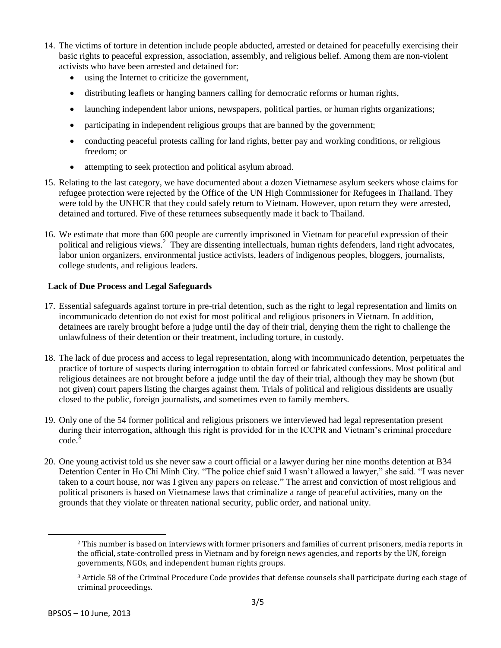- 14. The victims of torture in detention include people abducted, arrested or detained for peacefully exercising their basic rights to peaceful expression, association, assembly, and religious belief. Among them are non-violent activists who have been arrested and detained for:
	- using the Internet to criticize the government,
	- distributing leaflets or hanging banners calling for democratic reforms or human rights,
	- launching independent labor unions, newspapers, political parties, or human rights organizations;
	- participating in independent religious groups that are banned by the government;
	- conducting peaceful protests calling for land rights, better pay and working conditions, or religious freedom; or
	- attempting to seek protection and political asylum abroad.
- 15. Relating to the last category, we have documented about a dozen Vietnamese asylum seekers whose claims for refugee protection were rejected by the Office of the UN High Commissioner for Refugees in Thailand. They were told by the UNHCR that they could safely return to Vietnam. However, upon return they were arrested, detained and tortured. Five of these returnees subsequently made it back to Thailand.
- 16. We estimate that more than 600 people are currently imprisoned in Vietnam for peaceful expression of their political and religious views.<sup>2</sup> They are dissenting intellectuals, human rights defenders, land right advocates, labor union organizers, environmental justice activists, leaders of indigenous peoples, bloggers, journalists, college students, and religious leaders.

## **Lack of Due Process and Legal Safeguards**

- 17. Essential safeguards against torture in pre-trial detention, such as the right to legal representation and limits on incommunicado detention do not exist for most political and religious prisoners in Vietnam. In addition, detainees are rarely brought before a judge until the day of their trial, denying them the right to challenge the unlawfulness of their detention or their treatment, including torture, in custody.
- 18. The lack of due process and access to legal representation, along with incommunicado detention, perpetuates the practice of torture of suspects during interrogation to obtain forced or fabricated confessions. Most political and religious detainees are not brought before a judge until the day of their trial, although they may be shown (but not given) court papers listing the charges against them. Trials of political and religious dissidents are usually closed to the public, foreign journalists, and sometimes even to family members.
- 19. Only one of the 54 former political and religious prisoners we interviewed had legal representation present during their interrogation, although this right is provided for in the ICCPR and Vietnam's criminal procedure code.<sup>3</sup>
- 20. One young activist told us she never saw a court official or a lawyer during her nine months detention at B34 Detention Center in Ho Chi Minh City. "The police chief said I wasn't allowed a lawyer," she said. "I was never taken to a court house, nor was I given any papers on release." The arrest and conviction of most religious and political prisoners is based on Vietnamese laws that criminalize a range of peaceful activities, many on the grounds that they violate or threaten national security, public order, and national unity.

 $\overline{\phantom{a}}$ 

<sup>2</sup> This number is based on interviews with former prisoners and families of current prisoners, media reports in the official, state-controlled press in Vietnam and by foreign news agencies, and reports by the UN, foreign governments, NGOs, and independent human rights groups.

<sup>3</sup> Article 58 of the Criminal Procedure Code provides that defense counsels shall participate during each stage of criminal proceedings.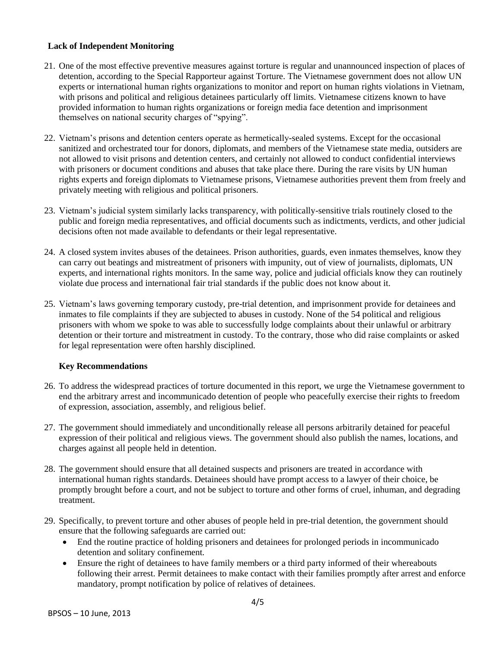#### **Lack of Independent Monitoring**

- 21. One of the most effective preventive measures against torture is regular and unannounced inspection of places of detention, according to the Special Rapporteur against Torture. The Vietnamese government does not allow UN experts or international human rights organizations to monitor and report on human rights violations in Vietnam, with prisons and political and religious detainees particularly off limits. Vietnamese citizens known to have provided information to human rights organizations or foreign media face detention and imprisonment themselves on national security charges of "spying".
- 22. Vietnam's prisons and detention centers operate as hermetically-sealed systems. Except for the occasional sanitized and orchestrated tour for donors, diplomats, and members of the Vietnamese state media, outsiders are not allowed to visit prisons and detention centers, and certainly not allowed to conduct confidential interviews with prisoners or document conditions and abuses that take place there. During the rare visits by UN human rights experts and foreign diplomats to Vietnamese prisons, Vietnamese authorities prevent them from freely and privately meeting with religious and political prisoners.
- 23. Vietnam's judicial system similarly lacks transparency, with politically-sensitive trials routinely closed to the public and foreign media representatives, and official documents such as indictments, verdicts, and other judicial decisions often not made available to defendants or their legal representative.
- 24. A closed system invites abuses of the detainees. Prison authorities, guards, even inmates themselves, know they can carry out beatings and mistreatment of prisoners with impunity, out of view of journalists, diplomats, UN experts, and international rights monitors. In the same way, police and judicial officials know they can routinely violate due process and international fair trial standards if the public does not know about it.
- 25. Vietnam's laws governing temporary custody, pre-trial detention, and imprisonment provide for detainees and inmates to file complaints if they are subjected to abuses in custody. None of the 54 political and religious prisoners with whom we spoke to was able to successfully lodge complaints about their unlawful or arbitrary detention or their torture and mistreatment in custody. To the contrary, those who did raise complaints or asked for legal representation were often harshly disciplined.

#### **Key Recommendations**

- 26. To address the widespread practices of torture documented in this report, we urge the Vietnamese government to end the arbitrary arrest and incommunicado detention of people who peacefully exercise their rights to freedom of expression, association, assembly, and religious belief.
- 27. The government should immediately and unconditionally release all persons arbitrarily detained for peaceful expression of their political and religious views. The government should also publish the names, locations, and charges against all people held in detention.
- 28. The government should ensure that all detained suspects and prisoners are treated in accordance with international human rights standards. Detainees should have prompt access to a lawyer of their choice, be promptly brought before a court, and not be subject to torture and other forms of cruel, inhuman, and degrading treatment.
- 29. Specifically, to prevent torture and other abuses of people held in pre-trial detention, the government should ensure that the following safeguards are carried out:
	- End the routine practice of holding prisoners and detainees for prolonged periods in incommunicado detention and solitary confinement.
	- Ensure the right of detainees to have family members or a third party informed of their whereabouts following their arrest. Permit detainees to make contact with their families promptly after arrest and enforce mandatory, prompt notification by police of relatives of detainees.